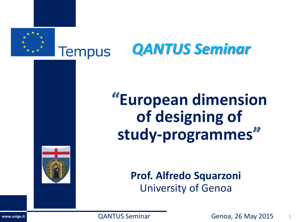



# **"European dimension of designing of study-programmes"**



**Prof. Alfredo Squarzoni** University of Genoa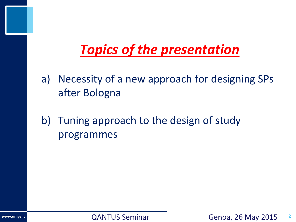# *Topics of the presentation*

- a) Necessity of a new approach for designing SPs after Bologna
- b) Tuning approach to the design of study programmes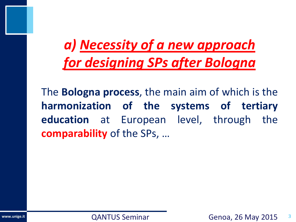# *a) Necessity of a new approach for designing SPs after Bologna*

The **Bologna process**, the main aim of which is the **harmonization of the systems of tertiary education** at European level, through the **comparability** of the SPs, …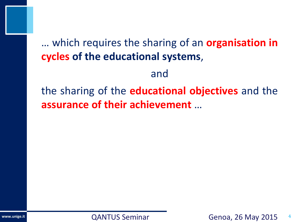# … which requires the sharing of an **organisation in cycles of the educational systems**,

and

the sharing of the **educational objectives** and the **assurance of their achievement** …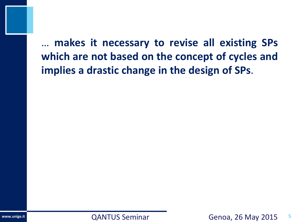… **makes it necessary to revise all existing SPs which are not based on the concept of cycles and implies a drastic change in the design of SPs**.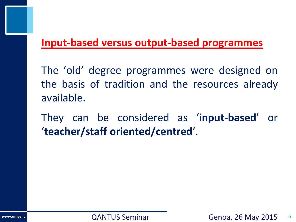#### **Input-based versus output-based programmes**

The 'old' degree programmes were designed on the basis of tradition and the resources already available.

They can be considered as '**input-based**' or '**teacher/staff oriented/centred**'.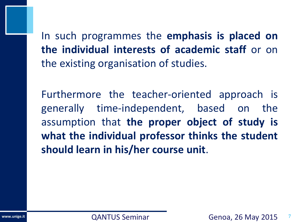In such programmes the **emphasis is placed on the individual interests of academic staff** or on the existing organisation of studies.

Furthermore the teacher-oriented approach is generally time-independent, based on the assumption that **the proper object of study is what the individual professor thinks the student should learn in his/her course unit**.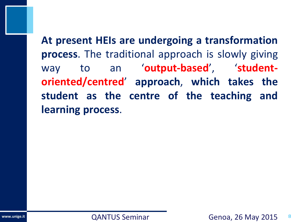**At present HEIs are undergoing a transformation process**. The traditional approach is slowly giving way to an '**output-based**', '**studentoriented/centred**' **approach**, **which takes the student as the centre of the teaching and learning process**.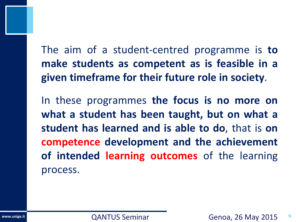The aim of a student-centred programme is **to make students as competent as is feasible in a given timeframe for their future role in society**.

In these programmes **the focus is no more on what a student has been taught, but on what a student has learned and is able to do**, that is **on competence development and the achievement of intended learning outcomes** of the learning process.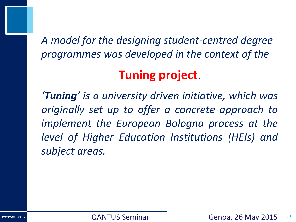*A model for the designing student-centred degree programmes was developed in the context of the*

# **Tuning project**.

*'Tuning' is a university driven initiative, which was originally set up to offer a concrete approach to implement the European Bologna process at the level of Higher Education Institutions (HEIs) and subject areas.*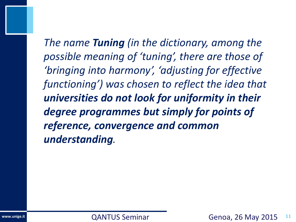*The name Tuning (in the dictionary, among the possible meaning of 'tuning', there are those of 'bringing into harmony', 'adjusting for effective functioning') was chosen to reflect the idea that universities do not look for uniformity in their degree programmes but simply for points of reference, convergence and common understanding.*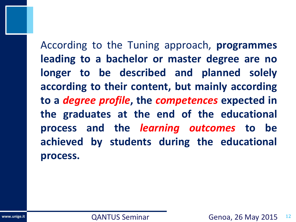According to the Tuning approach, **programmes leading to a bachelor or master degree are no longer to be described and planned solely according to their content, but mainly according to a** *degree profile***, the** *competences* **expected in the graduates at the end of the educational process and the** *learning outcomes* **to be achieved by students during the educational process.**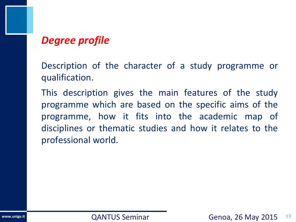### *Degree profile*

Description of the character of a study programme or qualification.

This description gives the main features of the study programme which are based on the specific aims of the programme, how it fits into the academic map of disciplines or thematic studies and how it relates to the professional world.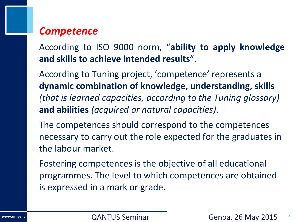#### *Competence*

According to ISO 9000 norm, "**ability to apply knowledge and skills to achieve intended results**".

According to Tuning project, 'competence' represents a **dynamic combination of knowledge, understanding, skills**  *(that is learned capacities, according to the Tuning glossary)*  **and abilities** *(acquired or natural capacities)*.

The competences should correspond to the competences necessary to carry out the role expected for the graduates in the labour market.

Fostering competences is the objective of all educational programmes. The level to which competences are obtained is expressed in a mark or grade.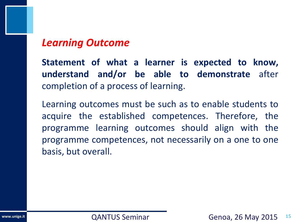#### *Learning Outcome*

**Statement of what a learner is expected to know, understand and/or be able to demonstrate** after completion of a process of learning.

Learning outcomes must be such as to enable students to acquire the established competences. Therefore, the programme learning outcomes should align with the programme competences, not necessarily on a one to one basis, but overall.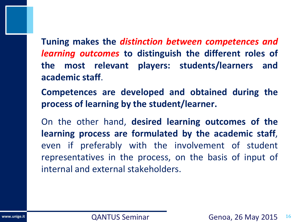**Tuning makes the** *distinction between competences and learning outcomes* **to distinguish the different roles of the most relevant players: students/learners and academic staff**.

**Competences are developed and obtained during the process of learning by the student/learner.**

On the other hand, **desired learning outcomes of the learning process are formulated by the academic staff**, even if preferably with the involvement of student representatives in the process, on the basis of input of internal and external stakeholders.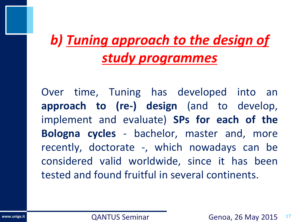# *b) Tuning approach to the design of study programmes*

Over time, Tuning has developed into an **approach to (re-) design** (and to develop, implement and evaluate) **SPs for each of the Bologna cycles** - bachelor, master and, more recently, doctorate -, which nowadays can be considered valid worldwide, since it has been tested and found fruitful in several continents.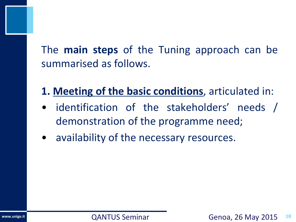The **main steps** of the Tuning approach can be summarised as follows.

- **1. Meeting of the basic conditions**, articulated in:
- identification of the stakeholders' needs / demonstration of the programme need;
- availability of the necessary resources.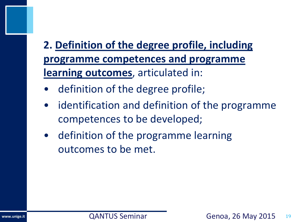# **2. Definition of the degree profile, including programme competences and programme learning outcomes**, articulated in:

- definition of the degree profile;
- identification and definition of the programme competences to be developed;
- definition of the programme learning outcomes to be met.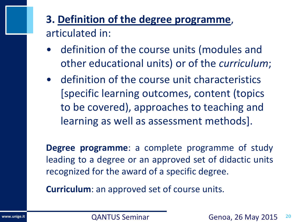# **3. Definition of the degree programme**, articulated in:

- definition of the course units (modules and other educational units) or of the *curriculum*;
- definition of the course unit characteristics [specific learning outcomes, content (topics to be covered), approaches to teaching and learning as well as assessment methods].

**Degree programme**: a complete programme of study leading to a degree or an approved set of didactic units recognized for the award of a specific degree.

**Curriculum**: an approved set of course units.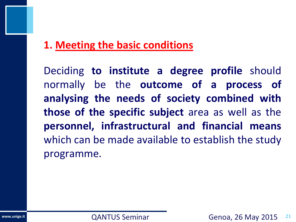## **1. Meeting the basic conditions**

Deciding **to institute a degree profile** should normally be the **outcome of a process of analysing the needs of society combined with those of the specific subject** area as well as the **personnel, infrastructural and financial means** which can be made available to establish the study programme.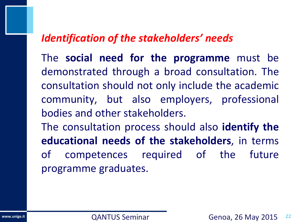#### *Identification of the stakeholders' needs*

The **social need for the programme** must be demonstrated through a broad consultation. The consultation should not only include the academic community, but also employers, professional bodies and other stakeholders.

The consultation process should also **identify the educational needs of the stakeholders**, in terms of competences required of the future programme graduates.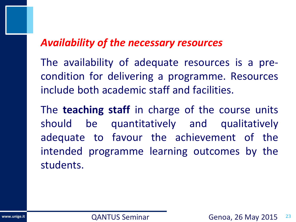#### *Availability of the necessary resources*

The availability of adequate resources is a precondition for delivering a programme. Resources include both academic staff and facilities.

The **teaching staff** in charge of the course units should be quantitatively and qualitatively adequate to favour the achievement of the intended programme learning outcomes by the students.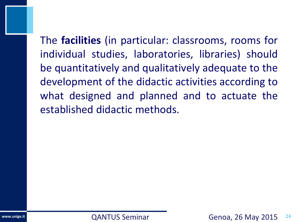The **facilities** (in particular: classrooms, rooms for individual studies, laboratories, libraries) should be quantitatively and qualitatively adequate to the development of the didactic activities according to what designed and planned and to actuate the established didactic methods.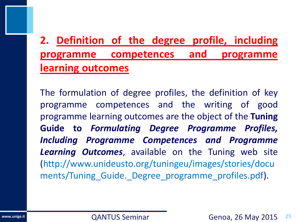# **2. Definition of the degree profile, including programme competences and programme learning outcomes**

The formulation of degree profiles, the definition of key programme competences and the writing of good programme learning outcomes are the object of the **Tuning Guide to** *Formulating Degree Programme Profiles, Including Programme Competences and Programme Learning Outcomes*, available on the Tuning web site (http://www.unideusto.org/tuningeu/images/stories/docu ments/Tuning\_Guide.\_Degree\_programme\_profiles.pdf).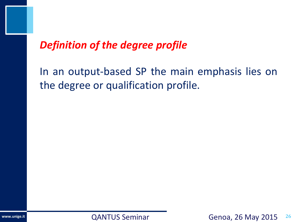### *Definition of the degree profile*

In an output-based SP the main emphasis lies on the degree or qualification profile.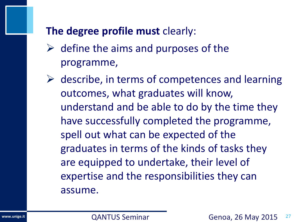### **The degree profile must** clearly:

- $\triangleright$  define the aims and purposes of the programme,
- $\triangleright$  describe, in terms of competences and learning outcomes, what graduates will know, understand and be able to do by the time they have successfully completed the programme, spell out what can be expected of the graduates in terms of the kinds of tasks they are equipped to undertake, their level of expertise and the responsibilities they can assume.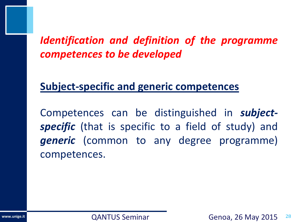## *Identification and definition of the programme competences to be developed*

### **Subject-specific and generic competences**

Competences can be distinguished in *subjectspecific* (that is specific to a field of study) and *generic* (common to any degree programme) competences.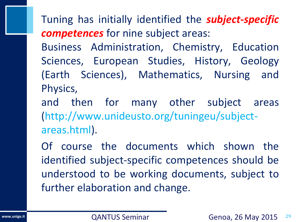Tuning has initially identified the *subject-specific competences* for nine subject areas:

Business Administration, Chemistry, Education Sciences, European Studies, History, Geology (Earth Sciences), Mathematics, Nursing and Physics,

and then for many other subject areas (http://www.unideusto.org/tuningeu/subjectareas.html).

Of course the documents which shown the identified subject-specific competences should be understood to be working documents, subject to further elaboration and change.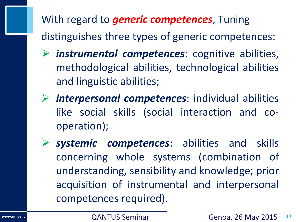With regard to *generic competences*, Tuning distinguishes three types of generic competences:

- *instrumental competences*: cognitive abilities, methodological abilities, technological abilities and linguistic abilities;
- *interpersonal competences*: individual abilities like social skills (social interaction and cooperation);
- *systemic competences*: abilities and skills concerning whole systems (combination of understanding, sensibility and knowledge; prior acquisition of instrumental and interpersonal competences required).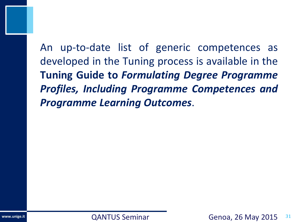An up-to-date list of generic competences as developed in the Tuning process is available in the **Tuning Guide to** *Formulating Degree Programme Profiles, Including Programme Competences and Programme Learning Outcomes*.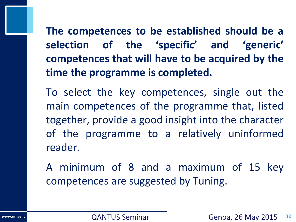**The competences to be established should be a selection of the 'specific' and 'generic' competences that will have to be acquired by the time the programme is completed.**

To select the key competences, single out the main competences of the programme that, listed together, provide a good insight into the character of the programme to a relatively uninformed reader.

A minimum of 8 and a maximum of 15 key competences are suggested by Tuning.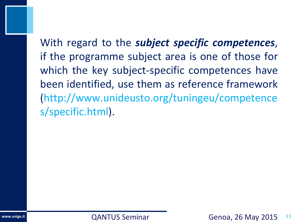With regard to the *subject specific competences*, if the programme subject area is one of those for which the key subject-specific competences have been identified, use them as reference framework (http://www.unideusto.org/tuningeu/competence s/specific.html).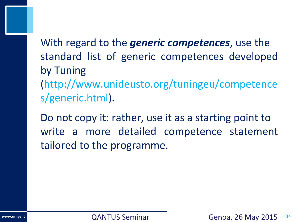With regard to the *generic competences*, use the standard list of generic competences developed by Tuning (http://www.unideusto.org/tuningeu/competence s/generic.html).

Do not copy it: rather, use it as a starting point to write a more detailed competence statement tailored to the programme.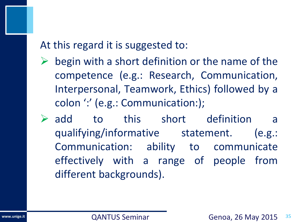At this regard it is suggested to:

- begin with a short definition or the name of the competence (e.g.: Research, Communication, Interpersonal, Teamwork, Ethics) followed by a colon ':' (e.g.: Communication:);
- $\triangleright$  add to this short definition a qualifying/informative statement. (e.g.: Communication: ability to communicate effectively with a range of people from different backgrounds).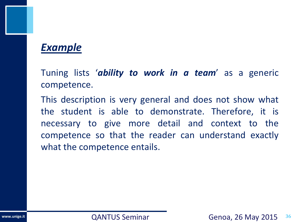#### *Example*

Tuning lists '*ability to work in a team*' as a generic competence.

This description is very general and does not show what the student is able to demonstrate. Therefore, it is necessary to give more detail and context to the competence so that the reader can understand exactly what the competence entails.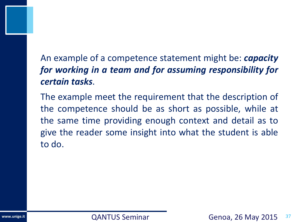#### An example of a competence statement might be: *capacity for working in a team and for assuming responsibility for certain tasks*.

The example meet the requirement that the description of the competence should be as short as possible, while at the same time providing enough context and detail as to give the reader some insight into what the student is able to do.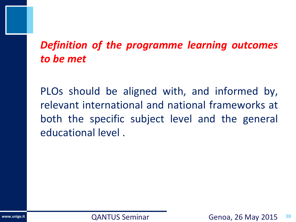# *Definition of the programme learning outcomes to be met*

PLOs should be aligned with, and informed by, relevant international and national frameworks at both the specific subject level and the general educational level .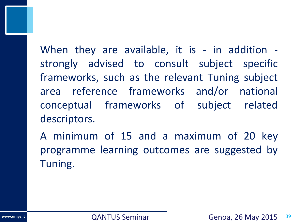When they are available, it is - in addition strongly advised to consult subject specific frameworks, such as the relevant Tuning subject area reference frameworks and/or national conceptual frameworks of subject related descriptors.

A minimum of 15 and a maximum of 20 key programme learning outcomes are suggested by Tuning.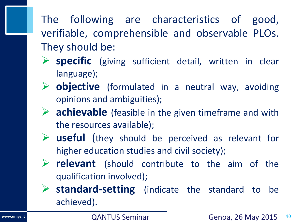# The following are characteristics of good, verifiable, comprehensible and observable PLOs. They should be:

- **specific** (giving sufficient detail, written in clear language);
- **→ objective** (formulated in a neutral way, avoiding opinions and ambiguities);
- **►** achievable (feasible in the given timeframe and with the resources available);
- **useful** (they should be perceived as relevant for higher education studies and civil society);
- **P** relevant (should contribute to the aim of the qualification involved);
- **standard-setting** (indicate the standard to be achieved).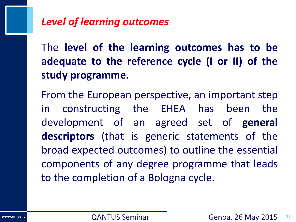### *Level of learning outcomes*

The **level of the learning outcomes has to be adequate to the reference cycle (I or II) of the study programme.**

From the European perspective, an important step in constructing the EHEA has been the development of an agreed set of **general descriptors** (that is generic statements of the broad expected outcomes) to outline the essential components of any degree programme that leads to the completion of a Bologna cycle.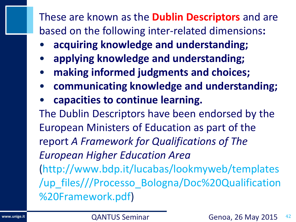These are known as the **Dublin Descriptors** and are based on the following inter-related dimensions**:**

- **acquiring knowledge and understanding;**
- **applying knowledge and understanding;**
- **making informed judgments and choices;**
- **communicating knowledge and understanding;**
- **capacities to continue learning.**

The Dublin Descriptors have been endorsed by the European Ministers of Education as part of the report *A Framework for Qualifications of The European Higher Education Area* (http://www.bdp.it/lucabas/lookmyweb/templates /up\_files///Processo\_Bologna/Doc%20Qualification %20Framework.pdf)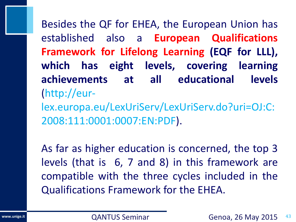Besides the QF for EHEA, the European Union has established also a **European Qualifications Framework for Lifelong Learning (EQF for LLL), which has eight levels, covering learning achievements at all educational levels** (http://eur-

lex.europa.eu/LexUriServ/LexUriServ.do?uri=OJ:C: 2008:111:0001:0007:EN:PDF).

As far as higher education is concerned, the top 3 levels (that is 6, 7 and 8) in this framework are compatible with the three cycles included in the Qualifications Framework for the EHEA.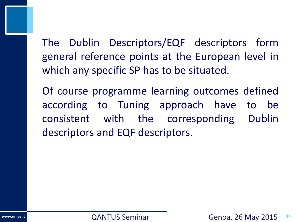The Dublin Descriptors/EQF descriptors form general reference points at the European level in which any specific SP has to be situated.

Of course programme learning outcomes defined according to Tuning approach have to be consistent with the corresponding Dublin descriptors and EQF descriptors.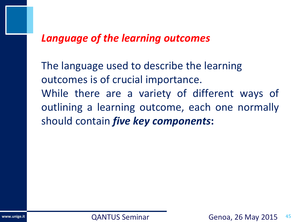#### *Language of the learning outcomes*

The language used to describe the learning outcomes is of crucial importance. While there are a variety of different ways of outlining a learning outcome, each one normally should contain *five key components***:**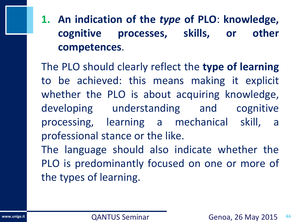**1. An indication of the** *type* **of PLO**: **knowledge, cognitive processes, skills, or other competences**.

The PLO should clearly reflect the **type of learning** to be achieved: this means making it explicit whether the PLO is about acquiring knowledge, developing understanding and cognitive processing, learning a mechanical skill, a professional stance or the like. The language should also indicate whether the

PLO is predominantly focused on one or more of the types of learning.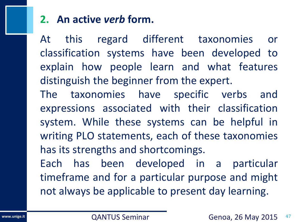## **2. An active** *verb* **form.**

At this regard different taxonomies or classification systems have been developed to explain how people learn and what features distinguish the beginner from the expert.

The taxonomies have specific verbs and expressions associated with their classification system. While these systems can be helpful in writing PLO statements, each of these taxonomies has its strengths and shortcomings.

Each has been developed in a particular timeframe and for a particular purpose and might not always be applicable to present day learning.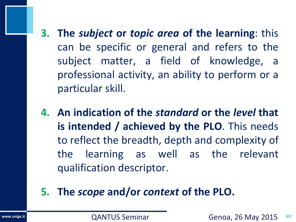- **3. The** *subject* **or** *topic area* **of the learning**: this can be specific or general and refers to the subject matter, a field of knowledge, a professional activity, an ability to perform or a particular skill.
- **4. An indication of the** *standard* **or the** *level* **that is intended / achieved by the PLO**. This needs to reflect the breadth, depth and complexity of the learning as well as the relevant qualification descriptor.
- **5. The** *scope* **and/or** *context* **of the PLO.**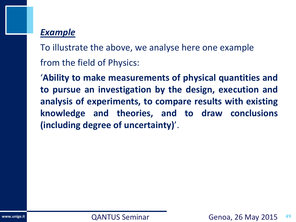#### *Example*

To illustrate the above, we analyse here one example from the field of Physics:

'**Ability to make measurements of physical quantities and to pursue an investigation by the design, execution and analysis of experiments, to compare results with existing knowledge and theories, and to draw conclusions (including degree of uncertainty)**'.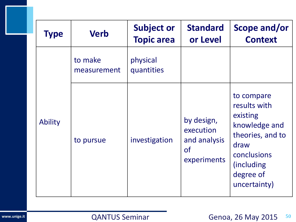| <b>Type</b> | <b>Verb</b>            | <b>Subject or</b><br><b>Topic area</b> | <b>Standard</b><br>or Level                                         | Scope and/or<br><b>Context</b>                                                                                                                 |  |
|-------------|------------------------|----------------------------------------|---------------------------------------------------------------------|------------------------------------------------------------------------------------------------------------------------------------------------|--|
| Ability     | to make<br>measurement | physical<br>quantities                 |                                                                     |                                                                                                                                                |  |
|             | to pursue              | investigation                          | by design,<br>execution<br>and analysis<br><b>of</b><br>experiments | to compare<br>results with<br>existing<br>knowledge and<br>theories, and to<br>draw<br>conclusions<br>(including)<br>degree of<br>uncertainty) |  |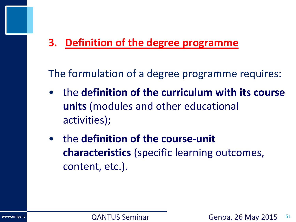## **3. Definition of the degree programme**

The formulation of a degree programme requires:

- the **definition of the curriculum with its course units** (modules and other educational activities);
- the **definition of the course-unit characteristics** (specific learning outcomes, content, etc.).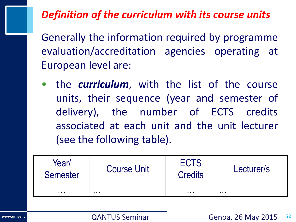## *Definition of the curriculum with its course units*

Generally the information required by programme evaluation/accreditation agencies operating at European level are:

• the *curriculum*, with the list of the course units, their sequence (year and semester of delivery), the number of ECTS credits associated at each unit and the unit lecturer (see the following table).

| Year/<br><b>Semester</b> | <b>Course Unit</b> | <b>ECTS</b><br><b>Credits</b> | Lecturer/s |  |  |
|--------------------------|--------------------|-------------------------------|------------|--|--|
| .                        | .                  | .                             | .          |  |  |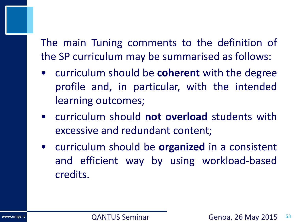The main Tuning comments to the definition of the SP curriculum may be summarised as follows:

- curriculum should be **coherent** with the degree profile and, in particular, with the intended learning outcomes;
- curriculum should **not overload** students with excessive and redundant content;
- curriculum should be **organized** in a consistent and efficient way by using workload-based credits.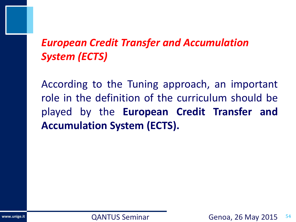# *European Credit Transfer and Accumulation System (ECTS)*

According to the Tuning approach, an important role in the definition of the curriculum should be played by the **European Credit Transfer and Accumulation System (ECTS).**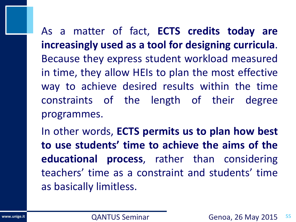As a matter of fact, **ECTS credits today are increasingly used as a tool for designing curricula**. Because they express student workload measured in time, they allow HEIs to plan the most effective way to achieve desired results within the time constraints of the length of their degree programmes.

In other words, **ECTS permits us to plan how best to use students' time to achieve the aims of the educational process**, rather than considering teachers' time as a constraint and students' time as basically limitless.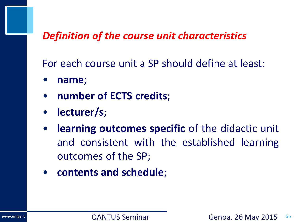#### *Definition of the course unit characteristics*

For each course unit a SP should define at least:

- **name**;
- **number of ECTS credits**;
- **lecturer/s**;
- **learning outcomes specific** of the didactic unit and consistent with the established learning outcomes of the SP;
- **contents and schedule**;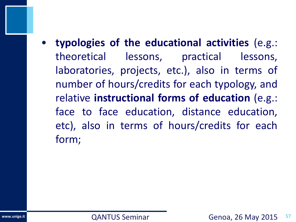• **typologies of the educational activities** (e.g.: theoretical lessons, practical lessons, laboratories, projects, etc.), also in terms of number of hours/credits for each typology, and relative **instructional forms of education** (e.g.: face to face education, distance education, etc), also in terms of hours/credits for each form;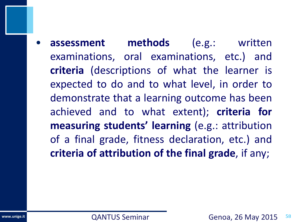• **assessment methods** (e.g.: written examinations, oral examinations, etc.) and **criteria** (descriptions of what the learner is expected to do and to what level, in order to demonstrate that a learning outcome has been achieved and to what extent); **criteria for measuring students' learning** (e.g.: attribution of a final grade, fitness declaration, etc.) and **criteria of attribution of the final grade**, if any;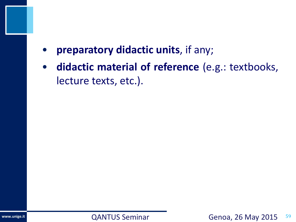- **preparatory didactic units**, if any;
- **didactic material of reference** (e.g.: textbooks, lecture texts, etc.).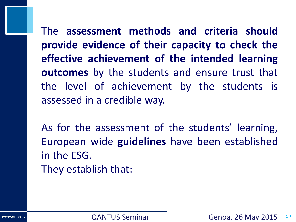The **assessment methods and criteria should provide evidence of their capacity to check the effective achievement of the intended learning outcomes** by the students and ensure trust that the level of achievement by the students is assessed in a credible way.

As for the assessment of the students' learning, European wide **guidelines** have been established in the ESG. They establish that: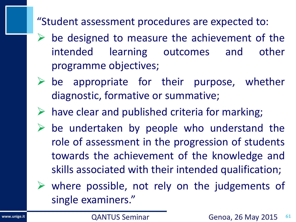"Student assessment procedures are expected to:

- $\triangleright$  be designed to measure the achievement of the intended learning outcomes and other programme objectives;
- $\triangleright$  be appropriate for their purpose, whether diagnostic, formative or summative;
- $\triangleright$  have clear and published criteria for marking;
- $\triangleright$  be undertaken by people who understand the role of assessment in the progression of students towards the achievement of the knowledge and skills associated with their intended qualification;

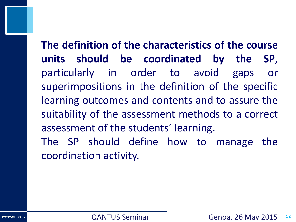**The definition of the characteristics of the course units should be coordinated by the SP**, particularly in order to avoid gaps or superimpositions in the definition of the specific learning outcomes and contents and to assure the suitability of the assessment methods to a correct assessment of the students' learning. The SP should define how to manage the coordination activity.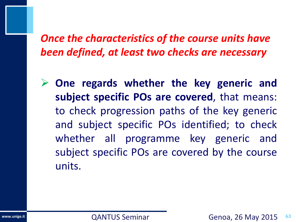*Once the characteristics of the course units have been defined, at least two checks are necessary*

 **One regards whether the key generic and subject specific POs are covered**, that means: to check progression paths of the key generic and subject specific POs identified; to check whether all programme key generic and subject specific POs are covered by the course units.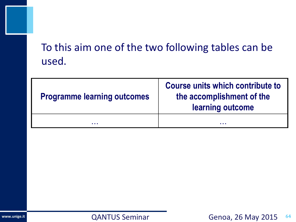# To this aim one of the two following tables can be used.

| <b>Programme learning outcomes</b> | Course units which contribute to<br>the accomplishment of the<br>learning outcome |
|------------------------------------|-----------------------------------------------------------------------------------|
| .                                  | .                                                                                 |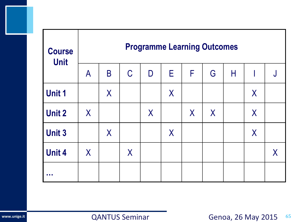| <b>Course</b><br><b>Unit</b> | <b>Programme Learning Outcomes</b> |          |              |   |         |         |         |   |          |          |
|------------------------------|------------------------------------|----------|--------------|---|---------|---------|---------|---|----------|----------|
|                              | $\mathsf{A}$                       | B        | $\mathcal C$ | D | E       | F       | G       | Н |          | J        |
| <b>Unit 1</b>                |                                    | $\sf X$  |              |   | $\sf X$ |         |         |   | $\sf{X}$ |          |
| <b>Unit 2</b>                | X                                  |          |              | X |         | $\sf X$ | $\sf X$ |   | $\sf{X}$ |          |
| <b>Unit 3</b>                |                                    | $\sf{X}$ |              |   | $\sf X$ |         |         |   | $\sf{X}$ |          |
| <b>Unit 4</b>                | X                                  |          | $\sf X$      |   |         |         |         |   |          | $\sf{X}$ |
| a a s                        |                                    |          |              |   |         |         |         |   |          |          |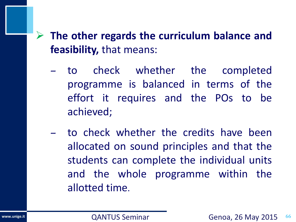## **The other regards the curriculum balance and feasibility,** that means:

- to check whether the completed programme is balanced in terms of the effort it requires and the POs to be achieved;
- to check whether the credits have been allocated on sound principles and that the students can complete the individual units and the whole programme within the allotted time.